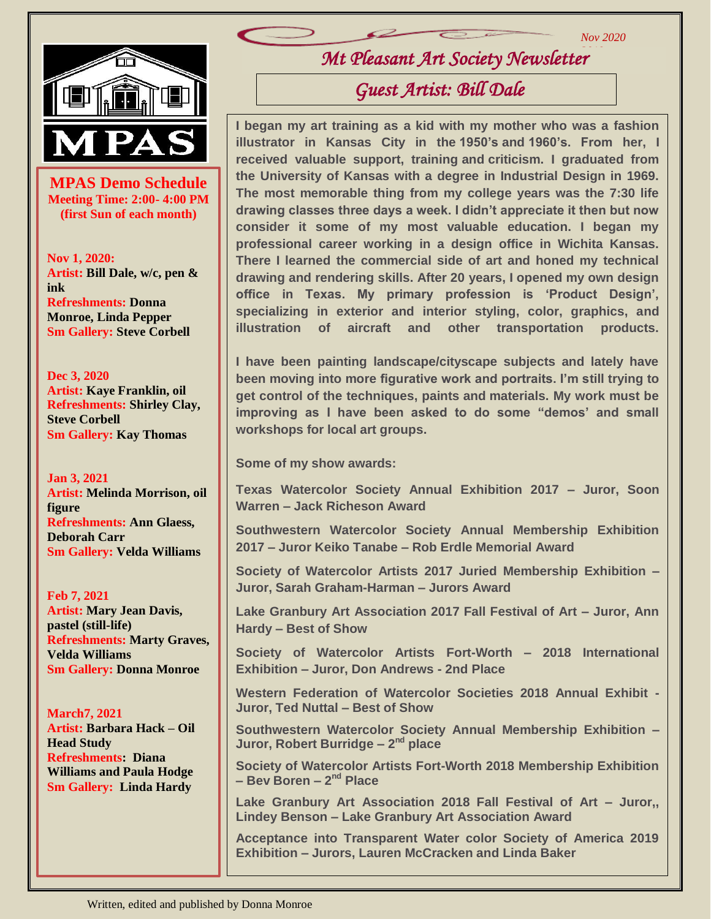

**MPAS Demo Schedule**<br>
Meeting Time: 2:00- 4:00 PM **Meeting Time: 2:00- 4:00 PM (first Sun of each month)**

**Nov 1, 2020: Artist: Bill Dale, w/c, pen & ink Refreshments: Donna Monroe, Linda Pepper Sm Gallery: Steve Corbell**

**Dec 3, 2020 Artist: Kaye Franklin, oil Refreshments: Shirley Clay, Steve Corbell Sm Gallery: Kay Thomas**

**Jan 3, 2021 Artist: Melinda Morrison, oil figure Refreshments: Ann Glaess, Deborah Carr Sm Gallery: Velda Williams**

**Feb 7, 2021 Artist: Mary Jean Davis, pastel (still-life) Refreshments: Marty Graves, Velda Williams Sm Gallery: Donna Monroe**

 **Head Study March7, 2021 Artist: Barbara Hack – Oil Refreshments: Diana Williams and Paula Hodge Sm Gallery: Linda Hardy**

*Mt Pleasant Art Society Newsletter 2019*

*Nov 2020*

#### *Guest Artist: Bill Dale*

**I began my art training as a kid with my mother who was a fashion illustrator in Kansas City in the 1950's and 1960's. From her, I received valuable support, training and criticism. I graduated from the University of Kansas with a degree in Industrial Design in 1969. The most memorable thing from my college years was the 7:30 life drawing classes three days a week. I didn't appreciate it then but now consider it some of my most valuable education. I began my professional career working in a design office in Wichita Kansas. There I learned the commercial side of art and honed my technical drawing and rendering skills. After 20 years, I opened my own design office in Texas. My primary profession is 'Product Design', specializing in exterior and interior styling, color, graphics, and illustration of aircraft and other transportation products.**

**I have been painting landscape/cityscape subjects and lately have been moving into more figurative work and portraits. I'm still trying to get control of the techniques, paints and materials. My work must be improving as I have been asked to do some "demos' and small workshops for local art groups.**

**Some of my show awards:**

**Texas Watercolor Society Annual Exhibition 2017 – Juror, Soon Warren – Jack Richeson Award**

**Southwestern Watercolor Society Annual Membership Exhibition 2017 – Juror Keiko Tanabe – Rob Erdle Memorial Award**

**Society of Watercolor Artists 2017 Juried Membership Exhibition – Juror, Sarah Graham-Harman – Jurors Award**

**Lake Granbury Art Association 2017 Fall Festival of Art – Juror, Ann Hardy – Best of Show**

**Society of Watercolor Artists Fort-Worth – 2018 International Exhibition – Juror, Don Andrews - 2nd Place**

**Western Federation of Watercolor Societies 2018 Annual Exhibit - Juror, Ted Nuttal – Best of Show**

**Southwestern Watercolor Society Annual Membership Exhibition – Juror, Robert Burridge - 2<sup>nd</sup> place** 

**Society of Watercolor Artists Fort-Worth 2018 Membership Exhibition – Bev Boren – 2 nd Place**

**Lake Granbury Art Association 2018 Fall Festival of Art – Juror,, Lindey Benson – Lake Granbury Art Association Award**

**Acceptance into Transparent Water color Society of America 2019 Exhibition – Jurors, Lauren McCracken and Linda Baker**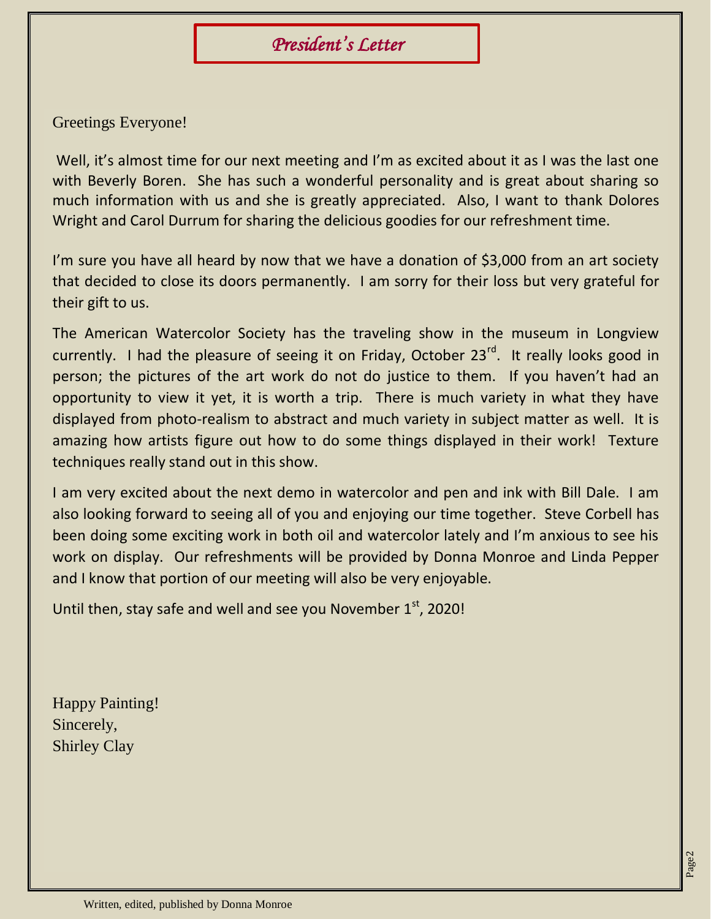# *President's Letter*

Greetings Everyone!

Well, it's almost time for our next meeting and I'm as excited about it as I was the last one with Beverly Boren. She has such a wonderful personality and is great about sharing so much information with us and she is greatly appreciated. Also, I want to thank Dolores Wright and Carol Durrum for sharing the delicious goodies for our refreshment time.

I'm sure you have all heard by now that we have a donation of \$3,000 from an art society that decided to close its doors permanently. I am sorry for their loss but very grateful for their gift to us.

The American Watercolor Society has the traveling show in the museum in Longview currently. I had the pleasure of seeing it on Friday, October  $23^{rd}$ . It really looks good in person; the pictures of the art work do not do justice to them. If you haven't had an opportunity to view it yet, it is worth a trip. There is much variety in what they have displayed from photo-realism to abstract and much variety in subject matter as well. It is amazing how artists figure out how to do some things displayed in their work! Texture techniques really stand out in this show.

I am very excited about the next demo in watercolor and pen and ink with Bill Dale. I am also looking forward to seeing all of you and enjoying our time together. Steve Corbell has been doing some exciting work in both oil and watercolor lately and I'm anxious to see his work on display. Our refreshments will be provided by Donna Monroe and Linda Pepper and I know that portion of our meeting will also be very enjoyable.

Until then, stay safe and well and see you November  $1<sup>st</sup>$ , 2020!

Happy Painting! Sincerely, Shirley Clay